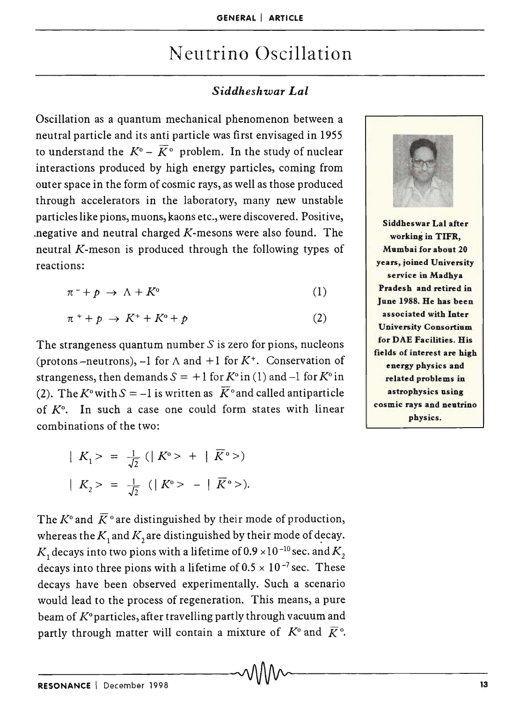# Neutrino Oscillation

## *Siddheshwar Lal*

Oscillation as a quantum mechanical phenomenon between a neutral particle and its anti particle was first envisaged in 1955 to understand the  $K^{\circ} - \overline{K}^{\circ}$  problem. In the study of nuclear interactions produced by high energy particles, coming from outer space in the form of cosmic rays, as well as those produced through accelerators in the laboratory, many new unstable particles like pions, muons, kaons etc., were discovered. Positive, .negative and neutral charged *K-mesons* were also found. The neutral *K-meson* is produced through the following types of reactions:

$$
\pi^- + p \to \Lambda + K^{\circ} \tag{1}
$$

$$
\pi^+ + p \to K^+ + K^0 + p \tag{2}
$$

The strangeness quantum number  $S$  is zero for pions, nucleons (protons -neutrons), -1 for  $\Lambda$  and +1 for  $K^+$ . Conservation of strangeness, then demands  $S = +1$  for  $K^{\circ}$  in (1) and  $-1$  for  $K^{\circ}$  in (2). The K<sup>o</sup>with  $S = -1$  is written as  $\overline{K}$ <sup>o</sup> and called antiparticle of  $K^0$ . In such a case one could form states with linear combinations of the two:

$$
|K_1\rangle = \frac{1}{\sqrt{2}} (|K^{\circ}\rangle + | \overline{K}^{\circ}\rangle)
$$
  
 $|K_2\rangle = \frac{1}{\sqrt{2}} (|K^{\circ}\rangle - | \overline{K}^{\circ}\rangle).$ 

The  $K^{\circ}$  and  $\overline{K}^{\circ}$  are distinguished by their mode of production, whereas the  $K$ , and  $K$ , are distinguished by their mode of decay.  $K_1$  decays into two pions with a lifetime of  $0.9 \times 10^{-10}$  sec. and  $K_2$ decays into three pions with a lifetime of  $0.5 \times 10^{-7}$  sec. These decays have been observed experimentally. Such a scenario would lead to the process of regeneration. This means, a pure beam of  $K^0$  particles, after travelling partly through vacuum and partly through matter will contain a mixture of  $K^{\circ}$  and  $\overline{K}^{\circ}$ . partly through matter will contain a mixture of  $R$  and  $R$ .



Siddheswar Lal after working in TIFR, Mumbai for about 20 years, joined University service in Madhya Pradesh and retired in June 1988. He has been associated with Inter University Consortium for DAE Facilities. His fields of interest are high energy physics and related problems in astrophysics using cosmic rays and neutrino physics.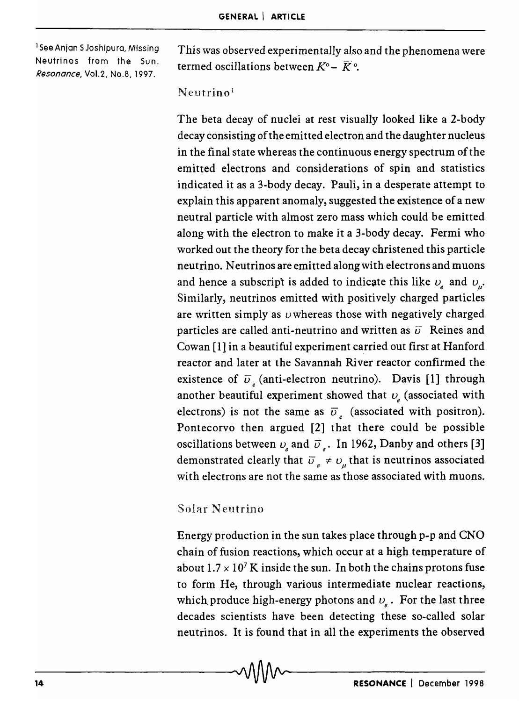<sup>1</sup> See Anjan S Joshipura, Missing Neutrinos from the Sun. *Resonance,* Vo1.2, No.8, 1997.

This was observed experimentally also and the phenomena were termed oscillations between  $K^{\circ}$  -  $\overline{K}^{\circ}$ .

#### $N$ eutrino<sup>1</sup>

The beta decay of nuclei at rest visually looked like a 2-body decay consisting of the emitted electron and the daughter nucleus in the final state whereas the continuous energy spectrum of the emitted electrons and considerations of spin and statistics indicated it as a 3-body decay. Pauli, in a desperate attempt to explain this apparent anomaly, suggested the existence of a new neutral particle with almost zero mass which could be emitted along with the electron to make it a 3-body decay. Fermi who worked out the theory for the beta decay christened this particle neutrino. Neutrinos are emitted along with electrons and muons and hence a subscript is added to indicate this like  $v_{\rho}$  and  $v_{\rho}$ . Similarly, neutrinos emitted with positively charged particles are written simply as *u* whereas those with negatively charged particles are called anti-neutrino and written as  $\bar{v}$  Reines and Cowan [1] in a beautiful experiment carried out first at Hanford reactor and later at the Savannah River reactor confirmed the existence of  $\overline{v}_i$  (anti-electron neutrino). Davis [1] through another beautiful experiment showed that  $v_{\rm s}$  (associated with electrons) is not the same as  $\overline{v}_e$  (associated with positron). Pontecorvo then argued [2] that there could be possible oscillations between  $v_{\rm s}$  and  $\bar{v}_{\rm s}$ . In 1962, Danby and others [3] demonstrated clearly that  $\overline{v}_e \neq v_u$  that is neutrinos associated with electrons are not the same as those associated with muons.

### Solar Neutrino

Energy production in the sun takes place through p-p and CNO chain of fusion reactions, which occur at a high temperature of about  $1.7 \times 10^7$  K inside the sun. In both the chains protons fuse to form He, through various intermediate nuclear reactions, which produce high-energy photons and  $v<sub>e</sub>$ . For the last three decades scientists have been detecting these so-called solar neutrinos. It is found that in all the experiments the observed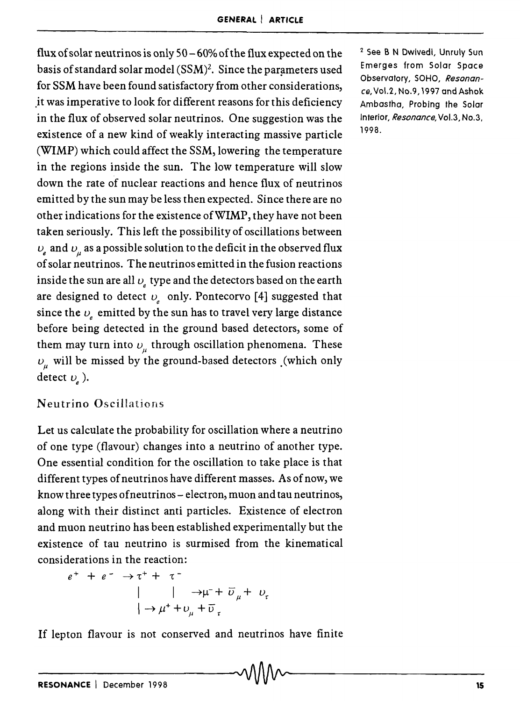flux of solar neutrinos is only  $50 - 60\%$  of the flux expected on the basis of standard solar model  $(SSM)^2$ . Since the parameters used for SSM have been found satisfactory from other considerations, ,it was imperative to look for different reasons for this deficiency in the flux of observed solar neutrinos. One suggestion was the existence of a new kind of weakly interacting massive particle (WIMP) which could affect the SSM, lowering the temperature in the regions inside the sun. The low temperature will slow down the rate of nuclear reactions and hence flux of neutrinos emitted by the sun may be less then expected. Since there are no other indications for the existence of WIMP, they have not been taken seriously. This left the possibility of oscillations between  $v_e$  and  $v_\mu$  as a possible solution to the deficit in the observed flux of solar neutrinos. The neutrinos emitted in the fusion reactions inside the sun are all  $v_{\mu}$  type and the detectors based on the earth are designed to detect  $v_e$  only. Pontecorvo [4] suggested that since the  $v_e$  emitted by the sun has to travel very large distance before being detected in the ground based detectors, some of them may turn into  $v_{\mu}$  through oscillation phenomena. These  $v_{\mu}$  will be missed by the ground-based detectors .(which only detect  $v_{\gamma}$ ).

## Neutrino Oscillations

Let us calculate the probability for oscillation where a neutrino of one type (flavour) changes into a neutrino of another type. One essential condition for the oscillation to take place is that different types of neutrinos have different masses. As of now, we know three types of neutrinos - electron, muon and tau neutrinos, along with their distinct anti particles. Existence of electron and muon neutrino has been established experimentally but the existence of tau neutrino is surmised from the kinematical considerations in the reaction:

 $e^+ + e^- \rightarrow \tau^+ + \tau^ \rightarrow \mu^- + \overline{v}_y + v_z$  $\rightarrow \mu^+ + v_\mu^+ + \overline{v}_\tau$ 

If lepton flavour is not conserved and neutrinos have finite If lepton flavour is not conserved and neutrinos have liftle<br> $\sim$ 

2 See B N Dwivedl, Unruly Sun Emerges from Solar Space Observatory, SOHO, *Resonance,* Vol.2, No.9, 1997 and Ashok Ambastha, Probing the Solar Interior, *Resonance,* Vol.3, No.3, 1998.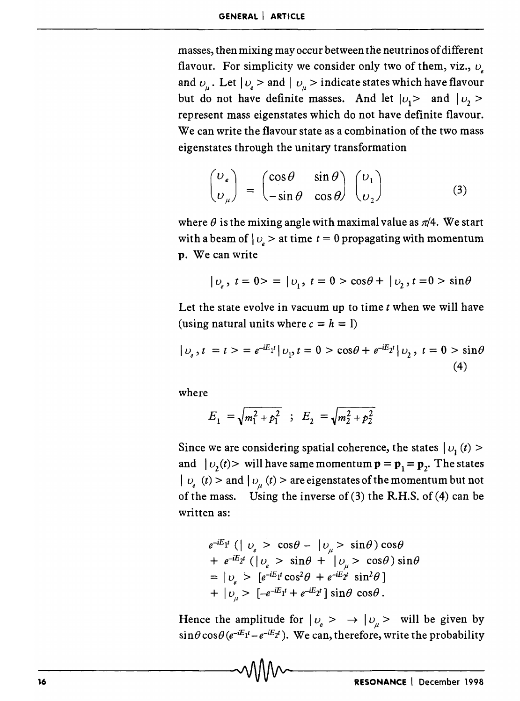masses, then mixing may occur between the neutrinos of different flavour. For simplicity we consider only two of them, viz.,  $v<sub>s</sub>$ and  $v_{\mu}$ . Let  $|v_{\mu}\rangle$  and  $|v_{\mu}\rangle$  indicate states which have flavour but do not have definite masses. And let  $|v_1\rangle$  and  $|v_2\rangle$ represent mass eigenstates which do not have definite flavour. We can write the flavour state as a combination of the two mass eigenstates through the unitary transformation

$$
\begin{pmatrix} \nu_e \\ \nu_\mu \end{pmatrix} = \begin{pmatrix} \cos \theta & \sin \theta \\ -\sin \theta & \cos \theta \end{pmatrix} \begin{pmatrix} \nu_1 \\ \nu_2 \end{pmatrix}
$$
 (3)

where  $\theta$  is the mixing angle with maximal value as  $\pi/4$ . We start with a beam of  $|v_e\rangle$  at time  $t = 0$  propagating with momentum p. We can write

$$
|v_e, t = 0\rangle = |v_1, t = 0\rangle \cos\theta + |v_2, t = 0\rangle \sin\theta
$$

Let the state evolve in vacuum up to time  $t$  when we will have (using natural units where  $c = h = 1$ )

$$
|v_e, t = t > = e^{-iE_1t} |v_1, t = 0 > \cos\theta + e^{-iE_2t} |v_2, t = 0 > \sin\theta
$$
\n(4)

where

$$
E_1 = \sqrt{m_1^2 + p_1^2} \quad ; \quad E_2 = \sqrt{m_2^2 + p_2^2}
$$

Since we are considering spatial coherence, the states  $|v_1(t)\rangle$ and  $|v_2(t)\rangle$  will have same momentum  $\mathbf{p} = \mathbf{p}_1 = \mathbf{p}_2$ . The states  $|v_e(t)\rangle$  and  $|v_u(t)\rangle$  are eigenstates of the momentum but not of the mass. Using the inverse of  $(3)$  the R.H.S. of  $(4)$  can be written as:

$$
e^{-iE_1t} (|v_e > \cos\theta - |v_\mu > \sin\theta) \cos\theta
$$
  
+ 
$$
e^{-iE_2t} (|v_e > \sin\theta + |v_\mu > \cos\theta) \sin\theta
$$
  
= 
$$
|v_e > [e^{-iE_1t} \cos^2\theta + e^{-iE_2t} \sin^2\theta]
$$
  
+ 
$$
|v_\mu > [-e^{-iE_1t} + e^{-iE_2t}] \sin\theta \cos\theta.
$$

Hence the amplitude for  $|v_e \rangle \rightarrow |v_u \rangle$  will be given by  $\sin\theta \cos\theta (e^{-iE_1t} - e^{-iE_2t})$ . We can, therefore, write the probability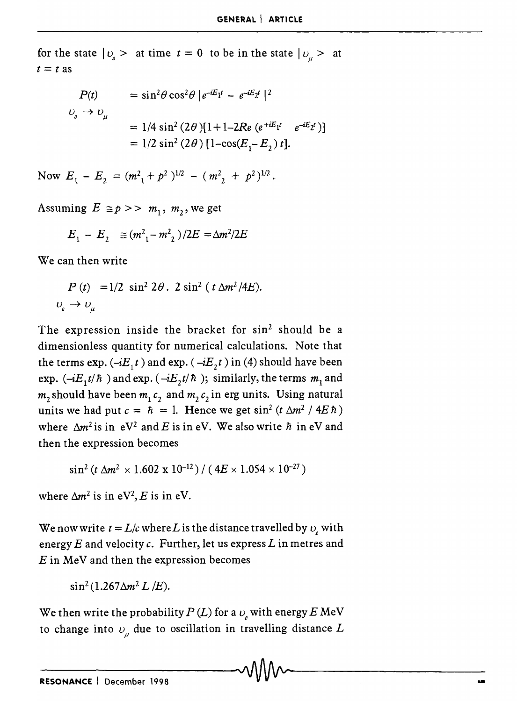for the state  $|v_{\ell}\rangle$  at time  $t = 0$  to be in the state  $|v_{\ell}\rangle$  at  $t = t$  as

$$
P(t) = \sin^2 \theta \cos^2 \theta |e^{-iE_1 t} - e^{-iE_2 t}|^2
$$
  

$$
v_e \to v_\mu
$$
  

$$
= 1/4 \sin^2 (2\theta)[1+1-2Re (e^{+iE_1 t} e^{-iE_2 t})]
$$
  

$$
= 1/2 \sin^2 (2\theta) [1-\cos(E_1-E_2) t].
$$

Now  $E_1 - E_2 = (m_1^2 + p_1^2)^{1/2} - (m_2^2 + p_1^2)^{1/2}$ .

Assuming  $E \cong p \gg m_1, m_2$ , we get

$$
E_1 - E_2 \equiv (m^2 - m^2) / 2E = \Delta m^2 / 2E
$$

We can then write

$$
P(t) = 1/2 \sin^2 2\theta \cdot 2 \sin^2 (t \Delta m^2 / 4E).
$$
  

$$
v_e \rightarrow v_\mu
$$

The expression inside the bracket for  $sin^2$  should be a dimensionless quantity for numerical calculations. Note that the terms exp.  $(-iE_1 t)$  and exp.  $(-iE_2 t)$  in (4) should have been exp.  $(-iE_1t/\hbar)$  and exp.  $(-iE_2t/\hbar)$ ; similarly, the terms  $m_1$  and  $m_2$  should have been  $m_1 c_2$  and  $m_2 c_2$  in erg units. Using natural units we had put  $c = \hbar = 1$ . Hence we get  $\sin^2(t \Delta m^2 / 4E \hbar)$ where  $\Delta m^2$  is in  $eV^2$  and E is in eV. We also write  $\hbar$  in eV and then the expression becomes

$$
\sin^2(t \Delta m^2 \times 1.602 \times 10^{-12}) / (4E \times 1.054 \times 10^{-27})
$$

where  $\Delta m^2$  is in eV<sup>2</sup>, *E* is in eV.

We now write  $t = L/c$  where *L* is the distance travelled by  $v<sub>s</sub>$  with energy *E* and velocity c. Further, let us express *L* in metres and *E* in MeV and then the expression becomes

 $\sin^2(1.267\Delta m^2L/E)$ .

We then write the probability  $P(L)$  for a  $v<sub>s</sub>$  with energy E MeV to change into  $v_{\mu}$  due to oscillation in travelling distance  $L$  $\sim$  . The contract of the contract of the contract of the contract of the contract of  $\sim$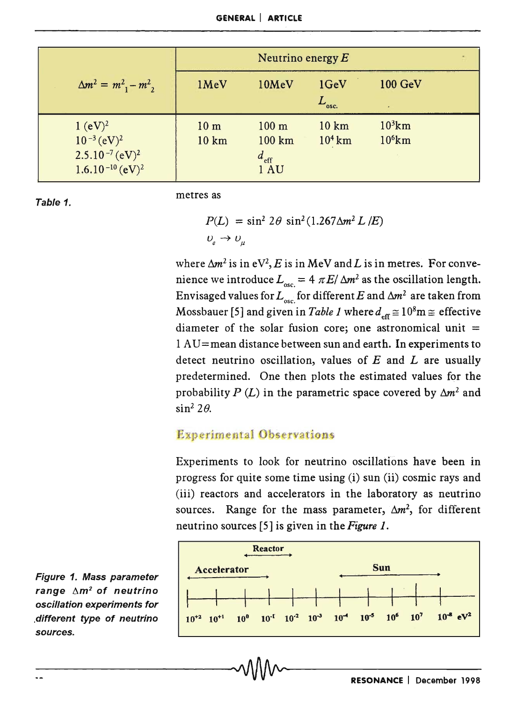|                                                                                 | Neutrino energy $E$      |                                                       |                    |                        |  |
|---------------------------------------------------------------------------------|--------------------------|-------------------------------------------------------|--------------------|------------------------|--|
| $\Delta m^2 = m^2 - m^2$ ,                                                      | 1MeV                     | 10MeV                                                 | 1GeV<br>$L_{osc.}$ | <b>100 GeV</b>         |  |
| $1 (eV)^2$<br>$10^{-3} (eV)^2$<br>$2.5.10^{-7} (eV)^2$<br>$1.6.10^{-10} (eV)^2$ | 10 <sub>m</sub><br>10 km | $100 \text{ m}$<br>100 km<br>$d_{\text{eff}}$<br>1 AU | 10 km<br>$104$ km  | $10^3$ km<br>$10^6$ km |  |

Table 1.

metres as

$$
P(L) = \sin^2 2\theta \sin^2 (1.267 \Delta m^2 L / E)
$$
  

$$
U_e \rightarrow U_\mu
$$

where  $\Delta m^2$  is in  $eV^2$ , E is in MeV and L is in metres. For convenience we introduce  $L_{\text{osc}} = 4 \pi E / \Delta m^2$  as the oscillation length. Envisaged values for  $L_{osc}$  for different E and  $\Delta m^2$  are taken from Mossbauer [5] and given in *Table 1* where  $d_{\text{eff}} \cong 10^8 \text{m}$   $\cong$  effective diameter of the solar fusion core; one astronomical unit  $=$  $1 AU$  = mean distance between sun and earth. In experiments to detect neutrino oscillation, values of *E* and *L* are usually predetermined. One then plots the estimated values for the probability  $P(L)$  in the parametric space covered by  $\Delta m^2$  and  $\sin^2 2\theta$ .

## Experimental Observations

Experiments to look for neutrino oscillations have been in progress for quite some time using (i) sun (ii) cosmic rays and (iii) reactors and accelerators in the laboratory as neutrino sources. Range for the mass parameter,  $\Delta m^2$ , for different neutrino sources [5] is given in the *Figure 1.* 



Figure 1. Mass parameter range  $\Delta m^2$  of neutrino oscillation experiments for .different type of neutrino sources.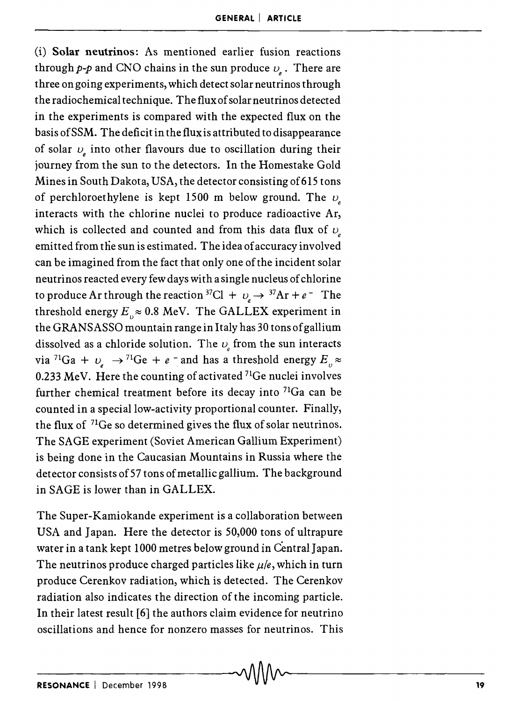(i) Solar neutrinos: As mentioned earlier fusion reactions through  $p-p$  and CNO chains in the sun produce  $\nu$ . There are three on going experiments, which detect solar neutrinos through the radiochemical technique. The flux of solar neutrinos detected in the experiments is compared with the expected flux on the basis of SSM. The deficit in the flux is attributed to disappearance of solar  $v_{\mu}$  into other flavours due to oscillation during their journey from the sun to the detectors. In the Homestake Gold Mines in South Dakota, USA, the detector consisting of615 tons of perchloroethylene is kept 1500 m below ground. The  $\nu$ interacts with the chlorine nuclei to produce radioactive Ar, which is collected and counted and from this data flux of  $\nu$ emitted from the sun is estimated. The idea of accuracy involved can be imagined from the fact that only one of the incident solar neutrinos reacted every few days with a single nucleus of chlorine to produce Ar through the reaction <sup>37</sup>Cl +  $v_a \rightarrow$  <sup>37</sup>Ar + *e* <sup>-</sup> The threshold energy  $E \approx 0.8$  MeV. The GALLEX experiment in the GRANSASSO mountain range in Italy has 30 tons of gallium dissolved as a chloride solution. The  $v_e$  from the sun interacts via <sup>71</sup>Ga +  $\nu_e \rightarrow$  <sup>71</sup>Ge + *e* <sup>-</sup> and has a threshold energy  $E_{\nu}$   $\approx$ through the reaction <sup>37</sup><br>
rgy  $E_{v} \approx 0.8$  MeV. Th<br>
SSO mountain range in<br>
chloride solution. Th<br>  $e^{\gamma t}$   $\rightarrow$  <sup>71</sup>Ge + e <sup>-</sup> and have 0.233 MeV. Here the counting of activated  $71$ Ge nuclei involves further chemical treatment before its decay into  $71$ Ga can be counted in a special low-activity proportional counter. Finally, the flux of  $71$ Ge so determined gives the flux of solar neutrinos. The SAGE experiment (Soviet American Gallium Experiment) is being done in the Caucasian Mountains in Russia where the detector consists of 57 tons of metallic gallium. The background in SAGE is lower than in GALLEX.

The Super-Kamiokande experiment is a collaboration between USA and Japan. Here the detector is 50,000 tons of ultrapure water in a tank kept 1000 metres below ground in Central Japan. The neutrinos produce charged particles like  $\mu/e$ , which in turn produce Cerenkov radiation, which is detected. The Cerenkov radiation also indicates the direction of the incoming particle. In their latest result [6] the authors claim evidence for neutrino oscillations and hence for nonzero masses for neutrinos. This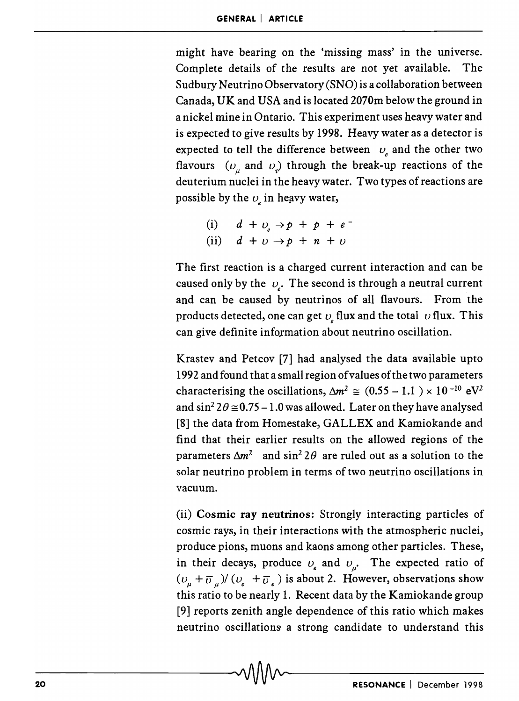might have bearing on the 'missing mass' in the universe. Complete details of the results are not yet available. The Sudbury Neutrino Observatory (SNO) is a collaboration between Canada, UK and USA and is located 2070m below the ground in a nickel mine in Ontario. This experiment uses heavy water and is expected to give results by 1998. Heavy water as a detector is expected to tell the difference between  $v_e$  and the other two flavours  $(v_{\mu}$  and  $v_{\tau}$  through the break-up reactions of the deuterium nuclei in the heavy water. Two types of reactions are possible by the  $v_{\rm s}$  in heavy water,

(i)  $d + v_e \rightarrow p + p + e^-$ (ii)  $d + p \rightarrow p + n + p$ 

The first reaction is a charged current interaction and can be caused only by the  $v_{\mu}$ . The second is through a neutral current and can be caused by neutrinos of all flavours. From the products detected, one can get  $v<sub>s</sub>$  flux and the total  $v$  flux. This can give definite information about neutrino oscillation.

Krastev and Petcov [7] had analysed the data available upto 1992 and found that a small region of values of the two parameters characterising the oscillations,  $\Delta m^2 \approx (0.55 - 1.1) \times 10^{-10}$  eV<sup>2</sup> and  $\sin^2 2\theta \approx 0.75 - 1.0$  was allowed. Later on they have analysed [8] the data from Homestake, GALLEX and Kamiokande and find that their earlier results on the allowed regions of the parameters  $\Delta m^2$  and sin<sup>2</sup> 2 $\theta$  are ruled out as a solution to the solar neutrino problem in terms of two neutrino oscillations in vacuum.

(ii) Cosmic ray neutrinos: Strongly interacting particles of cosmic rays, in their interactions with the atmospheric nuclei, produce pions, muons and kaons among other particles. These, in their decays, produce  $v_e$  and  $v_\mu$ . The expected ratio of  $(v_{\mu} + \overline{v}_{\mu})/(v_{e} + \overline{v}_{e})$  is about 2. However, observations show this ratio to be nearly 1. Recent data by the Kamiokande group [9] reports zenith angle dependence of this ratio which makes neutrino oscillations a strong candidate to understand this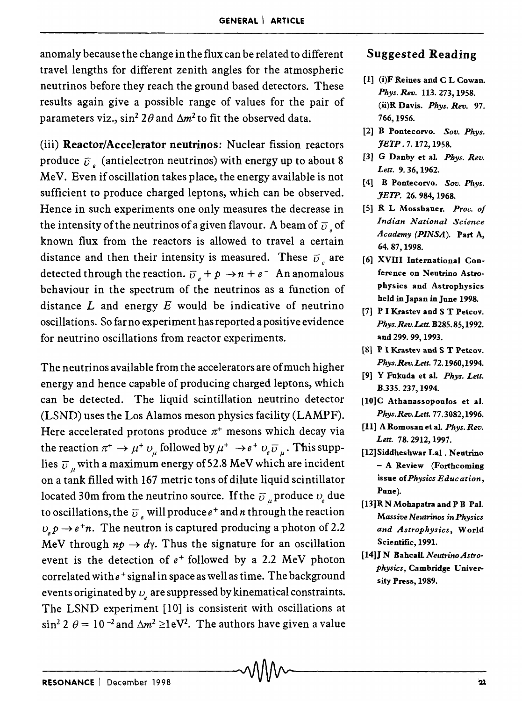anomaly because the change in the flux can be related to different travel lengths for different zenith angles for the atmospheric neutrinos before they reach the ground based detectors. These results again give a possible range of values for the pair of parameters viz.,  $\sin^2 2\theta$  and  $\Delta m^2$  to fit the observed data.

(iii) Reactor/Accelerator neutrinos: Nuclear fission reactors produce  $\bar{v}$  (antielectron neutrinos) with energy up to about 8 MeV. Even if oscillation takes place, the energy available is not sufficient to produce charged leptons, which can be observed. Hence in such experiments one only measures the decrease in the intensity of the neutrinos of a given flavour. A beam of  $\overline{v}_e$  of known flux from the reactors is allowed to travel a certain distance and then their intensity is measured. These  $\bar{v}$  are detected through the reaction.  $\overline{v}_e + p \rightarrow n + e^-$  An anomalous behaviour in the spectrum of the neutrinos as a function of distance *L* and energy *E* would be indicative of neutrino oscillations. So far no experiment has reported a positive evidence for neutrino oscillations from reactor experiments.

The neutrinos available from the accelerators are of much higher energy and hence capable of producing charged leptons, which can be detected. The liquid scintillation neutrino detector (LSND) uses the Los Alamos meson physics facility (LAMPF). Here accelerated protons produce  $\pi^+$  mesons which decay via the reaction  $\pi^+ \to \mu^+ \nu_{\mu}$  followed by  $\mu^+ \to e^+ \nu_{\mu} \bar{\nu}_{\mu}$ . This supplies  $\overline{\nu}$  with a maximum energy of 52.8 MeV which are incident on a tank filled with 167 metric tons of dilute liquid scintillator located 30m from the neutrino source. If the  $\bar{v}$  produce  $v<sub>s</sub>$  due to oscillations, the  $\overline{\upsilon}$  , will produce  $e^+$  and n through the reaction  $v_p \rightarrow e^+ n$ . The neutron is captured producing a photon of 2.2 MeV through  $n\rho \rightarrow d\gamma$ . Thus the signature for an oscillation event is the detection of  $e^+$  followed by a 2.2 MeV photon correlated with  $e^+$  signal in space as well as time. The background events originated by  $v_{\rm s}$  are suppressed by kinematical constraints. The LSND experiment [10] is consisterit with oscillations at  $\sin^2 2 \theta = 10^{-2}$  and  $\Delta m^2 \geq 1$ eV<sup>2</sup>. The authors have given a value

#### Suggested Reading

- [1] (i)F Reines and C L Cowan. *Phys. Rev.* 113. 273, 1958. (ii)R Davis. *Phys. Rev. 97.*  766,1956.
- [2] B Pontecorvo. *Sov. Phys. JETP.* 7. 172,1958.
- [3] G Danby et al. *Phys. Rev. Lett.* 9. 36, 1962.
- [4] B Pontecorvo. *Sov. Phys. JETP.* 26. 984, 1968.
- [5] R L Mossbauer. *Proc. of Indian National Science Academy (PINSA).* Part A, 64. 87, 1998.
- [6] XVIII International Conference on Neutrino Astrophysics and Astrophysics held in Japan in June 1998.
- [7] P I Krastev and S T Petcov. *Phys. Rev. Lett. B285.* 85, 1992. and 299.99,1993.
- [8] P I Krastev and S T Petcov. *Phys.Rev.Lett.72.1960,1994.*
- [9] Y Fukuda et a1. *Phys. Lett.*  B.335. 237,1994.
- [10]C Athanassopoulos et al. *Phys.Rev.Lett. 77.3082,1996.*
- [11] A Romosanetal. *Phys.Rev. Lett.* 78. 2912, 1997.
- [12]Siddheshwar Lal. Neutrino - A Review (Forthcoming issue of *Physics Education,*  Pune).
- [13] R N Mohapatra and P B Pal. *Massive N eutnnos in Physics and Astrophysics,* World Scientific, 1991.
- [1411 N Bahcall. *Neutrino Astrophysics,* Cambridge University Press, 1989.